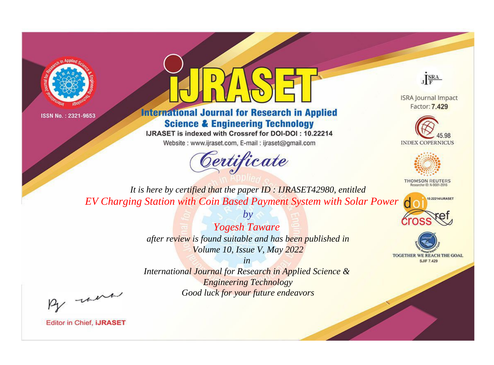



# **International Journal for Research in Applied Science & Engineering Technology**

IJRASET is indexed with Crossref for DOI-DOI: 10.22214

Website: www.ijraset.com, E-mail: ijraset@gmail.com



JERA

**ISRA Journal Impact** Factor: 7.429





**THOMSON REUTERS** 



TOGETHER WE REACH THE GOAL **SJIF 7.429** 

*It is here by certified that the paper ID : IJRASET42980, entitled EV Charging Station with Coin Based Payment System with Solar Power*

> *Yogesh Taware after review is found suitable and has been published in Volume 10, Issue V, May 2022*

*by*

*in* 

*International Journal for Research in Applied Science & Engineering Technology Good luck for your future endeavors*

By morn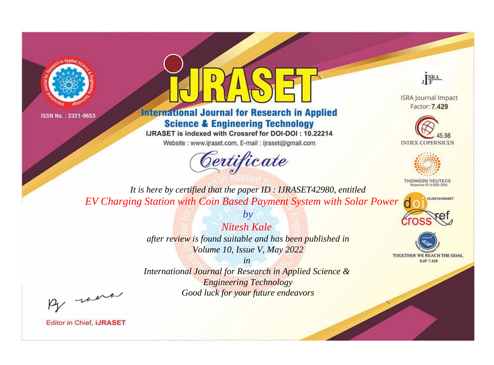



# **International Journal for Research in Applied Science & Engineering Technology**

IJRASET is indexed with Crossref for DOI-DOI: 10.22214

Website: www.ijraset.com, E-mail: ijraset@gmail.com



JERA

**ISRA Journal Impact** Factor: 7.429





**THOMSON REUTERS** 



TOGETHER WE REACH THE GOAL **SJIF 7.429** 

*It is here by certified that the paper ID : IJRASET42980, entitled EV Charging Station with Coin Based Payment System with Solar Power*

> *Nitesh Kale after review is found suitable and has been published in Volume 10, Issue V, May 2022*

*by*

*in* 

*International Journal for Research in Applied Science & Engineering Technology Good luck for your future endeavors*

By morn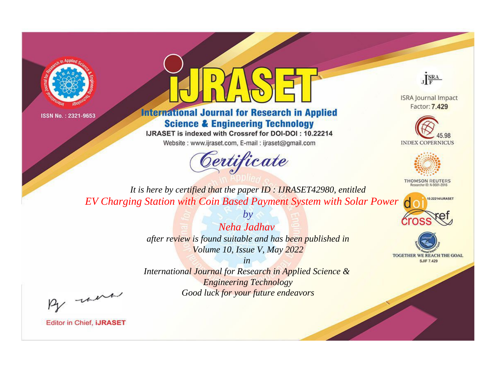



# **International Journal for Research in Applied Science & Engineering Technology**

IJRASET is indexed with Crossref for DOI-DOI: 10.22214

Website: www.ijraset.com, E-mail: ijraset@gmail.com



JERA

**ISRA Journal Impact** Factor: 7.429





**THOMSON REUTERS** 



TOGETHER WE REACH THE GOAL **SJIF 7.429** 

*It is here by certified that the paper ID : IJRASET42980, entitled EV Charging Station with Coin Based Payment System with Solar Power*

> *by Neha Jadhav after review is found suitable and has been published in Volume 10, Issue V, May 2022*

> > *in*

*International Journal for Research in Applied Science & Engineering Technology Good luck for your future endeavors*

By morn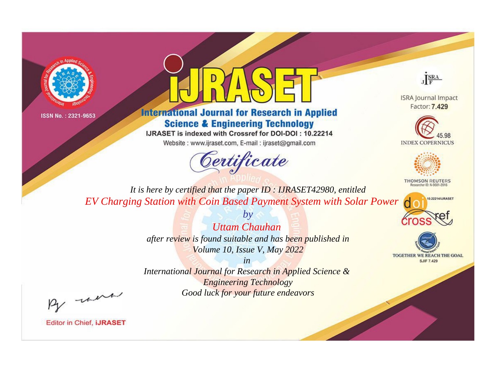



# **International Journal for Research in Applied Science & Engineering Technology**

IJRASET is indexed with Crossref for DOI-DOI: 10.22214

Website: www.ijraset.com, E-mail: ijraset@gmail.com



JERA

**ISRA Journal Impact** Factor: 7.429





**THOMSON REUTERS** 



TOGETHER WE REACH THE GOAL **SJIF 7.429** 

*It is here by certified that the paper ID : IJRASET42980, entitled EV Charging Station with Coin Based Payment System with Solar Power*

> *Uttam Chauhan after review is found suitable and has been published in Volume 10, Issue V, May 2022*

*by*

*in* 

*International Journal for Research in Applied Science & Engineering Technology Good luck for your future endeavors*

By morn